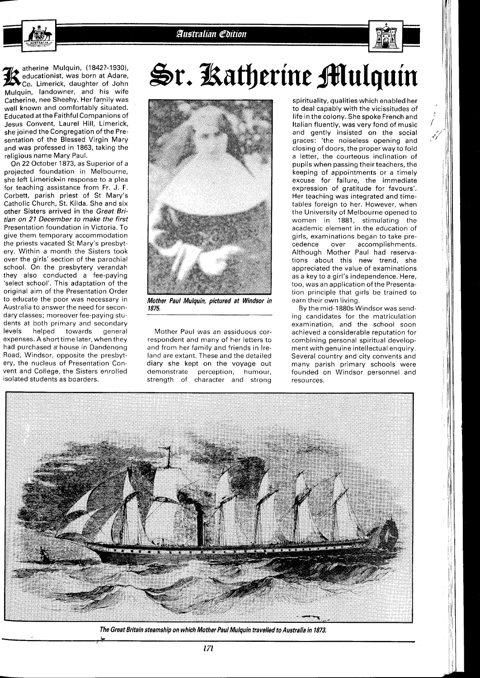**Australian Coition** 



atherine Mulquin, (1842?-1930), educationist, was born at Adare, 'Co. Limerick, daughter of John Mulquin, landowner, and his wife Catherine, nee Sheehy. Her family was well known and comfortably situated. Educated at the Faithful Companions of Jesus Convent, Laurel Hill, Limerick, she joined the Congregation of the Presentation of the Blessed Virgin Mary and was professed in 1863, taking the religious name Mary Paul.

On 22 October 1873, as Superior of a projected foundation in Melbourne, she left Limerick-in response to a plea for teaching assistance from Fr. J. F. Corbett, parish priest of St Mary's Catholic Church, St. Kilda. She and six other Sisters arrived in the Great Britian on 21 December to make the first Presentation foundation in Victoria. To give them temporary accommodation the priests vacated St Mary's presbytery. Within a month the Sisters took over the girls' section of the parochial school. On the presbytery verandah they also conducted a fee-paying 'select school'. This adaptation of the original aim of the Presentation Order to educate the poor was necessary in Australia to answer the need for secondary classes; moreover fee-paying students at both primary and secondary levels helped towards general expenses. A short time later, when they had purchased a' house in Dandenong Road, Windsor, opposite the presbytery, the nucleus of Presentation Convent and College, the Sisters enrolled isolated students as boarders.

## Sr. Katherine Mulquin



**Mother Paul Mulquin, pictured at Windsor in 1875.** 

Mother Paul was an assiduous correspondent and many of her letters to and from her family and friends in Ireland are extant. These and the detailed diary she kept on the voyage out demonstrate perception, humour, strength of character and strong

spirituality, qualities which enabled her to deal capably with the vicissitudes of life in the colony. She spoke French and Italian fluently, was very fond of music and gently insisted on the social graces: 'the noiseless opening and closing of doors, the proper way to fold a letter, the courteous inclination of pupils when passing their teachers, the keeping of appointments or a timely excuse for failure, the immediate expression of gratitude for favours'. Her teaching was integrated and timetables foreign to her. However, when the University of Melbourne opened to women in 1881, stimulating the academic element in the education of girls, examinations began to take precedence over accomplishments. Although Mother Paul had reservations about this new trend, she appreciated the value of examinations as a key to a girl's independence. Here, too, was an application of the Presentation principle that girls be trained to earn their own living.

By the mid-1880s Windsor was sending candidates for the matriculation examination, and the school soon achieved a considerable reputation for combining personal spiritual development with genuine intellectual enquiry. Several country and city convents and many parish primary schools were founded on Windsor personnel and resources.



**The Great Britain steamship on which Mother Paul Mulquin travelled to Australia in 1873.**